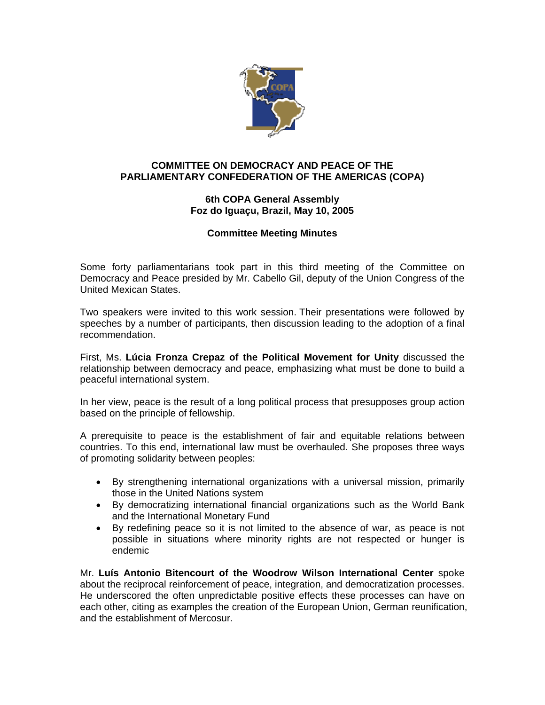

## **COMMITTEE ON DEMOCRACY AND PEACE OF THE PARLIAMENTARY CONFEDERATION OF THE AMERICAS (COPA)**

## **6th COPA General Assembly Foz do Iguaçu, Brazil, May 10, 2005**

## **Committee Meeting Minutes**

Some forty parliamentarians took part in this third meeting of the Committee on Democracy and Peace presided by Mr. Cabello Gil, deputy of the Union Congress of the United Mexican States.

Two speakers were invited to this work session. Their presentations were followed by speeches by a number of participants, then discussion leading to the adoption of a final recommendation.

First, Ms. **Lúcia Fronza Crepaz of the Political Movement for Unity** discussed the relationship between democracy and peace, emphasizing what must be done to build a peaceful international system.

In her view, peace is the result of a long political process that presupposes group action based on the principle of fellowship.

A prerequisite to peace is the establishment of fair and equitable relations between countries. To this end, international law must be overhauled. She proposes three ways of promoting solidarity between peoples:

- By strengthening international organizations with a universal mission, primarily those in the United Nations system
- By democratizing international financial organizations such as the World Bank and the International Monetary Fund
- By redefining peace so it is not limited to the absence of war, as peace is not possible in situations where minority rights are not respected or hunger is endemic

Mr. **Luís Antonio Bitencourt of the Woodrow Wilson International Center** spoke about the reciprocal reinforcement of peace, integration, and democratization processes. He underscored the often unpredictable positive effects these processes can have on each other, citing as examples the creation of the European Union, German reunification, and the establishment of Mercosur.